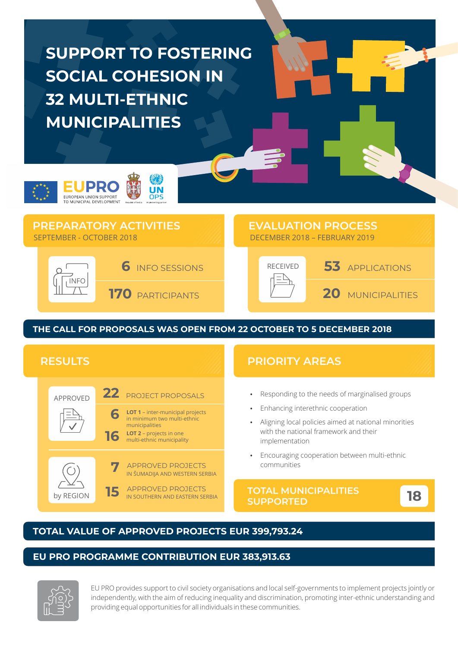# **SUPPORT TO FOSTERING SOCIAL COHESION IN 32 MULTI-ETHNIC MUNICIPALITIES**



## **PREPARATORY ACTIVITIES** SEPTEMBER - OCTOBER 2018 DECEMBER 2018 – FEBRUARY 2019





**20** MUNICIPALITIES

## **THE CALL FOR PROPOSALS WAS OPEN FROM 22 OCTOBER TO 5 DECEMBER 2018**



### **TOTAL VALUE OF APPROVED PROJECTS EUR 399,793.24**

#### **EU PRO PROGRAMME CONTRIBUTION EUR 383,913.63**



EU PRO provides support to civil society organisations and local self-governments to implement projects jointly or independently, with the aim of reducing inequality and discrimination, promoting inter-ethnic understanding and providing equal opportunities for all individuals in these communities.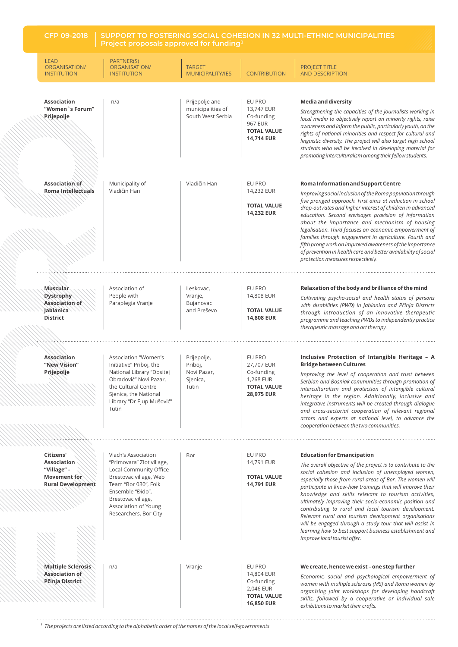**Project proposals approved for funding**<sup>1</sup>

| <b>LEAD</b><br>ORGANISATION/<br><b>INSTITUTION</b>                                         | PARTNER(S)<br>ORGANISATION/<br><b>INSTITUTION</b>                                                                                                                                                                       | <b>TARGET</b><br>MUNICIPALITY/IES                          | <b>CONTRIBUTION</b>                                                                             | <b>PROJECT TITLE</b><br><b>AND DESCRIPTION</b>                                                                                                                                                                                                                                                                                                                                                                                                                                                                                                                                                                                                                            |
|--------------------------------------------------------------------------------------------|-------------------------------------------------------------------------------------------------------------------------------------------------------------------------------------------------------------------------|------------------------------------------------------------|-------------------------------------------------------------------------------------------------|---------------------------------------------------------------------------------------------------------------------------------------------------------------------------------------------------------------------------------------------------------------------------------------------------------------------------------------------------------------------------------------------------------------------------------------------------------------------------------------------------------------------------------------------------------------------------------------------------------------------------------------------------------------------------|
| <b>Association</b><br>"Women`s Forum"<br>Prijepolje                                        | n/a                                                                                                                                                                                                                     | Prijepolje and<br>municipalities of<br>South West Serbia   | EU PRO<br>13,747 EUR<br>Co-funding<br><b>967 EUR</b><br><b>TOTAL VALUE</b><br><b>14,714 EUR</b> | <b>Media and diversity</b><br>Strengthening the capacities of the journalists working in<br>local media to objectively report on minority rights, raise<br>awareness and inform the public, particularly youth, on the<br>rights of national minorities and respect for cultural and<br>linguistic diversity. The project will also target high school<br>students who will be involved in developing material for<br>promoting interculturalism among their fellow students.                                                                                                                                                                                             |
| Association of<br>Roma Intellectuals                                                       | Municipality of<br>Vladičin Han                                                                                                                                                                                         | Vladičin Han                                               | EU PRO<br>14,232 EUR<br><b>TOTAL VALUE</b><br><b>14,232 EUR</b>                                 | Roma Information and Support Centre<br>Improving social inclusion of the Roma population through<br>five pronged approach. First aims at reduction in school<br>drop-out rates and higher interest of children in advanced<br>education. Second envisages provision of information<br>about the importance and mechanism of housing<br>legalisation. Third focuses on economic empowerment of<br>families through engagement in agriculture. Fourth and<br>fifth prong work on improved awareness of the importance<br>of prevention in health care and better availability of social<br>protection measures respectively.                                                |
| <b>Muscular</b><br><b>Dystrophy</b><br>Association of<br>Jablanica<br><b>District</b>      | Association of<br>People with<br>Paraplegia Vranje                                                                                                                                                                      | Leskovac,<br>Vranje,<br>Bujanovac<br>and Preševo           | EU PRO<br>14,808 EUR<br><b>TOTAL VALUE</b><br><b>14,808 EUR</b>                                 | Relaxation of the body and brilliance of the mind<br>Cultivating psycho-social and health status of persons<br>with disabilities (PWD) in Jablanica and Pčinja Districts<br>through introduction of an innovative therapeutic<br>programme and teaching PWDs to independently practice<br>therapeutic massage and art therapy.                                                                                                                                                                                                                                                                                                                                            |
| <b>Association</b><br>"New Vision"<br>Prijepolje                                           | Association "Women's<br>Initiative" Priboj, the<br>National Library "Dositej<br>Obradović" Novi Pazar,<br>the Cultural Centre<br>Sjenica, the National<br>Library "Dr Ejup Mušović"<br>Tutin                            | Prijepolje,<br>Priboj,<br>Novi Pazar,<br>Sjenica,<br>Tutin | EU PRO<br>27,707 EUR<br>Co-funding<br>1,268 EUR<br><b>TOTAL VALUE</b><br>28,975 EUR             | Inclusive Protection of Intangible Heritage - A<br><b>Bridge between Cultures</b><br>Improving the level of cooperation and trust between<br>Serbian and Bosniak communities through promotion of<br>interculturalism and protection of intangible cultural<br>heritage in the region. Additionally, inclusive and<br>integrative instruments will be created through dialogue<br>and cross-sectorial cooperation of relevant regional<br>actors and experts at national level, to advance the<br>cooperation between the two communities.                                                                                                                                |
| Citizens'<br><b>Association</b><br>"Village" -<br>Movement for<br><b>Rural Development</b> | Vlach's Association<br>"Primovara" Zlot village,<br>Local Community Office<br>Brestovac village, Web<br>Team "Bor 030", Folk<br>Ensemble "Đido",<br>Brestovac village,<br>Association of Young<br>Researchers, Bor City | Bor                                                        | EU PRO<br>14,791 EUR<br><b>TOTAL VALUE</b><br><b>14,791 EUR</b>                                 | <b>Education for Emancipation</b><br>The overall objective of the project is to contribute to the<br>social cohesion and inclusion of unemployed women,<br>especially those from rural areas of Bor. The women will<br>participate in know-how trainings that will improve their<br>knowledge and skills relevant to tourism activities,<br>ultimately improving their socio-economic position and<br>contributing to rural and local tourism development.<br>Relevant rural and tourism development organisations<br>will be engaged through a study tour that will assist in<br>learning how to best support business establishment and<br>improve local tourist offer. |
| <b>Multiple Sclerosis</b><br>Association of<br>Pčinja District                             | n/a                                                                                                                                                                                                                     | Vranje                                                     | EU PRO<br>14,804 EUR<br>Co-funding<br>2,046 EUR<br><b>TOTAL VALUE</b><br><b>16,850 EUR</b>      | We create, hence we exist - one step further<br>Economic, social and psychological empowerment of<br>women with multiple sclerosis (MS) and Roma women by<br>organising joint workshops for developing handcraft<br>skills, followed by a cooperative or individual sale<br>exhibitions to market their crafts.                                                                                                                                                                                                                                                                                                                                                           |

*The projects are listed according to the alphabetic order of the names of the local self-governments <sup>1</sup>*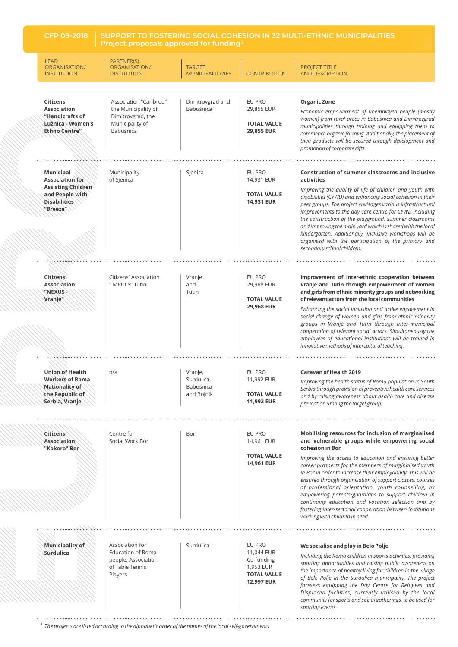| <b>CFP 09-2018</b>                                                                                                     | SUPPORT TO FOSTERING SOCIAL COHESION IN 32 MULTI-ETHNIC MUNICIPALITIES<br>Project proposals approved for funding <sup>1</sup> |                                                  |                                                                                            |                                                                                                                                                                                                                                                                                                                                                                                                                                                                                                                                                                                                                                           |
|------------------------------------------------------------------------------------------------------------------------|-------------------------------------------------------------------------------------------------------------------------------|--------------------------------------------------|--------------------------------------------------------------------------------------------|-------------------------------------------------------------------------------------------------------------------------------------------------------------------------------------------------------------------------------------------------------------------------------------------------------------------------------------------------------------------------------------------------------------------------------------------------------------------------------------------------------------------------------------------------------------------------------------------------------------------------------------------|
| <b>LEAD</b><br>ORGANISATION/<br><b>INSTITUTION</b>                                                                     | PARTNER(S)<br>ORGANISATION/<br><b>INSTITUTION</b>                                                                             | <b>TARGET</b><br>MUNICIPALITY/IES                | <b>CONTRIBUTION</b>                                                                        | <b>PROJECT TITLE</b><br><b>AND DESCRIPTION</b>                                                                                                                                                                                                                                                                                                                                                                                                                                                                                                                                                                                            |
| Citizens'<br><b>Association</b><br>"Handicrafts of<br>Lùžnica - Women's<br>Ethno Centre"                               | Association "Caribrod",<br>the Municipality of<br>Dimitrovgrad, the<br>Municipality of<br>Babušnica                           | Dimitrovgrad and<br>Babušnica                    | EU PRO<br>29,855 EUR<br><b>TOTAL VALUE</b><br>29,855 EUR                                   | <b>Organic Zone</b><br>Economic empowerment of unemployed people (mostly<br>women) from rural areas in Babušnica and Dimitrovgrad<br>municipalities through training and equipping them to<br>commence organic farming. Additionally, the placement of<br>their products will be secured through development and<br>promotion of corporate gifts.                                                                                                                                                                                                                                                                                         |
| <b>Municipal</b><br>Association for<br><b>Assisting Children</b><br>and People with<br><b>Disabilities</b><br>"Breeze" | Municipality<br>of Sjenica                                                                                                    | Sjenica                                          | EU PRO<br>14,931 EUR<br><b>TOTAL VALUE</b><br>14,931 EUR                                   | Construction of summer classrooms and inclusive<br>activities<br>Improving the quality of life of children and youth with<br>disabilities (CYWD) and enhancing social cohesion in their<br>peer groups. The project envisages various infrastructural<br>improvements to the day care centre for CYWD including<br>the construction of the playground, summer classrooms<br>and improving the main yard which is shared with the local<br>kindergarten. Additionally, inclusive workshops will be<br>organised with the participation of the primary and<br>secondary school children.                                                    |
| Citizens'<br>Association<br>"NEXUS-<br>Vranje"                                                                         | Citizens' Association<br>"IMPULS" Tutin                                                                                       | Vranje<br>and<br>Tutin                           | EU PRO<br>29,968 EUR<br><b>TOTAL VALUE</b><br>29,968 EUR                                   | Improvement of inter-ethnic cooperation between<br>Vranje and Tutin through empowerment of women<br>and girls from ethnic minority groups and networking<br>of relevant actors from the local communities<br>Enhancing the social inclusion and active engagement in<br>social change of women and girls from ethnic minority<br>groups in Vranje and Tutin through inter-municipal<br>cooperation of relevant social actors. Simultaneously the<br>employees of educational institutions will be trained in<br>innovative methods of intercultural teaching.                                                                             |
| Union of Health<br>Workers of Roma<br>Nationality of<br>the Republic of<br>Serbia, Vranje                              | n/a                                                                                                                           | Vranje,<br>Surdulica,<br>Babušnica<br>and Bojnik | EU PRO<br>11,992 EUR<br><b>TOTAL VALUE</b><br>11,992 EUR                                   | Caravan of Health 2019<br>Improving the health status of Roma population in South<br>Serbia through provision of preventive health care services<br>and by raising awareness about health care and disease<br>prevention among the target group.                                                                                                                                                                                                                                                                                                                                                                                          |
| Citizens'<br>Association<br>"Kokoro" Bor                                                                               | Centre for<br>Social Work Bor                                                                                                 | Bor                                              | EU PRO<br>14,961 EUR<br><b>TOTAL VALUE</b><br>14,961 EUR                                   | Mobilising resources for inclusion of marginalised<br>and vulnerable groups while empowering social<br>cohesion in Bor<br>Improving the access to education and ensuring better<br>career prospects for the members of marginalised youth<br>in Bor in order to increase their employability. This will be<br>ensured through organisation of support classes, courses<br>of professional orientation, youth counselling, by<br>empowering parents/guardians to support children in<br>continuing education and vocation selection and by<br>fostering inter-sectorial cooperation between institutions<br>working with children in need. |
| Municipality of<br>Surdulica                                                                                           | Association for<br><b>Education of Roma</b><br>people; Association<br>of Table Tennis<br>Players                              | Surdulica                                        | EU PRO<br>11,044 EUR<br>Co-funding<br>1,953 EUR<br><b>TOTAL VALUE</b><br><b>12,997 EUR</b> | We socialise and play in Belo Polje<br>Including the Roma children in sports activities, providing<br>sporting opportunities and raising public awareness on<br>the importance of healthy living for children in the village<br>of Belo Polje in the Surdulica municipality. The project<br>foresees equipping the Day Centre for Refugees and<br>Displaced facilities, currently utilised by the local<br>community for sports and social gatherings, to be used for<br>sporting events.                                                                                                                                                 |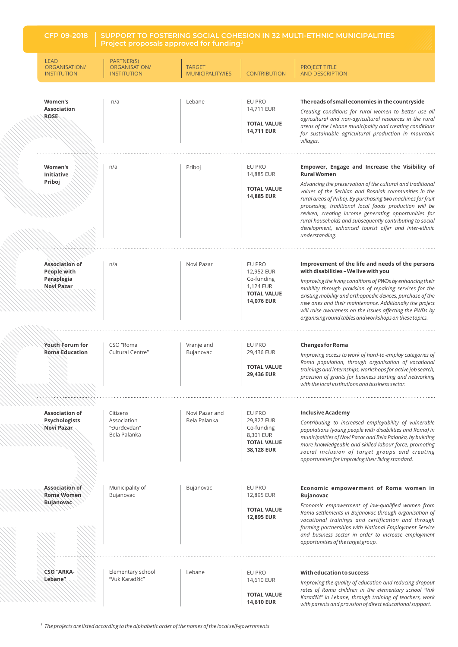**CFP 09-2018 SUPPORT TO FOSTERING SOCIAL COHESION IN 32 MULTI-ETHNIC MUNICIPALITIES Project proposals approved for funding**<sup>1</sup>

| <b>LEAD</b><br>ORGANISATION/<br><b>INSTITUTION</b>          | PARTNER(S)<br>ORGANISATION/<br><b>INSTITUTION</b>      | <b>TARGET</b><br><b>MUNICIPALITY/IES</b> | <b>CONTRIBUTION</b>                                                                 | <b>PROJECT TITLE</b><br><b>AND DESCRIPTION</b>                                                                                                                                                                                                                                                                                                                                                                                                                                                                     |
|-------------------------------------------------------------|--------------------------------------------------------|------------------------------------------|-------------------------------------------------------------------------------------|--------------------------------------------------------------------------------------------------------------------------------------------------------------------------------------------------------------------------------------------------------------------------------------------------------------------------------------------------------------------------------------------------------------------------------------------------------------------------------------------------------------------|
| Women's<br><b>Association</b><br><b>ROSE</b>                | n/a                                                    | Lebane                                   | EU PRO<br>14,711 EUR<br><b>TOTAL VALUE</b><br><b>14,711 EUR</b>                     | The roads of small economies in the countryside<br>Creating conditions for rural women to better use all<br>agricultural and non-agricultural resources in the rural<br>areas of the Lebane municipality and creating conditions<br>for sustainable agricultural production in mountain<br>villages.                                                                                                                                                                                                               |
| Women's<br><b>Initiative</b><br>Priboj                      | n/a                                                    | Priboj                                   | EU PRO<br>14,885 EUR<br><b>TOTAL VALUE</b><br><b>14,885 EUR</b>                     | Empower, Engage and Increase the Visibility of<br><b>Rural Women</b><br>Advancing the preservation of the cultural and traditional<br>values of the Serbian and Bosniak communities in the<br>rural areas of Priboj. By purchasing two machines for fruit<br>processing, traditional local foods production will be<br>revived, creating income generating opportunities for<br>rural households and subsequently contributing to social<br>development, enhanced tourist offer and inter-ethnic<br>understanding. |
| Association of<br>People with<br>Paraplegia<br>Novi Pazar   | n/a                                                    | Novi Pazar                               | EU PRO<br>12,952 EUR<br>Co-funding<br>1,124 EUR<br><b>TOTAL VALUE</b><br>14,076 EUR | Improvement of the life and needs of the persons<br>with disabilities - We live with you<br>Improving the living conditions of PWDs by enhancing their<br>mobility through provision of repairing services for the<br>existing mobility and orthopaedic devices, purchase of the<br>new ones and their maintenance. Additionally the project<br>will raise awareness on the issues affecting the PWDs by<br>organising round tables and workshops on these topics.                                                 |
| Youth Forum for<br><b>Roma</b> Education                    | CSO "Roma<br>Cultural Centre"                          | Vranje and<br>Bujanovac                  | EU PRO<br>29,436 EUR<br><b>TOTAL VALUE</b><br>29,436 EUR                            | <b>Changes for Roma</b><br>Improving access to work of hard-to-employ categories of<br>Roma population, through organisation of vocational<br>trainings and internships, workshops for active job search,<br>provision of grants for business starting and networking<br>with the local institutions and business sector.                                                                                                                                                                                          |
| <b>Association of</b><br><b>Psychologists</b><br>Novi Pazar | Citizens<br>Association<br>"Đurđevdan"<br>Bela Palanka | Novi Pazar and<br>Bela Palanka           | EU PRO<br>29,827 EUR<br>Co-funding<br>8,301 EUR<br><b>TOTAL VALUE</b><br>38,128 EUR | <b>Inclusive Academy</b><br>Contributing to increased employability of vulnerable<br>populations (young people with disabilities and Roma) in<br>municipalities of Novi Pazar and Bela Palanka, by building<br>more knowledgeable and skilled labour force, promoting<br>social inclusion of target groups and creating<br>opportunities for improving their living standard.                                                                                                                                      |
| Association of<br>Roma Women<br>Bujanovac                   | Municipality of<br>Bujanovac                           | Bujanovac                                | EU PRO<br>12,895 EUR<br><b>TOTAL VALUE</b><br><b>12,895 EUR</b>                     | Economic empowerment of Roma women in<br><b>Bujanovac</b><br>Economic empowerment of low-qualified women from<br>Roma settlements in Bujanovac through organisation of<br>vocational trainings and certification and through<br>forming partnerships with National Employment Service<br>and business sector in order to increase employment<br>opportunities of the target group.                                                                                                                                 |
| <b>CSO "ARKA-</b><br>Lebane"                                | Elementary school<br>"Vuk Karadžić"                    | Lebane                                   | EU PRO<br>14,610 EUR<br><b>TOTAL VALUE</b><br><b>14,610 EUR</b>                     | With education to success<br>Improving the quality of education and reducing dropout<br>rates of Roma children in the elementary school "Vuk<br>Karadžić" in Lebane, through training of teachers, work<br>with parents and provision of direct educational support.                                                                                                                                                                                                                                               |

*The projects are listed according to the alphabetic order of the names of the local self-governments <sup>1</sup>*